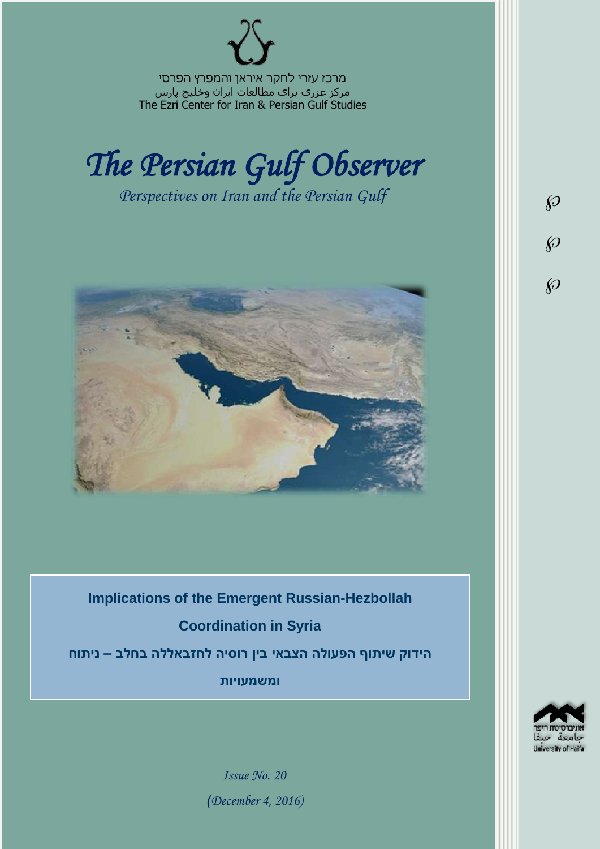מרכז עזרי לחקר איראן והמפרץ הפרסי مرکز عزری برای مطالعات ایران وخلیج پارس The Ezri Center for Iran & Persian Gulf Studies



*Perspectives on Iran and the Persian Gulf* 



**Implications of the Emergent Russian-Hezbollah Coordination in Syria הידוק שיתוף הפעולה הצבאי בין רוסיה לחזבאללה בחלב – ניתוח ומשמעויות**

University of Haifa

 $\wp$ 

 $\wp$ 

 $\wp$ 

*Issue No. 20 )December 4, 2016)*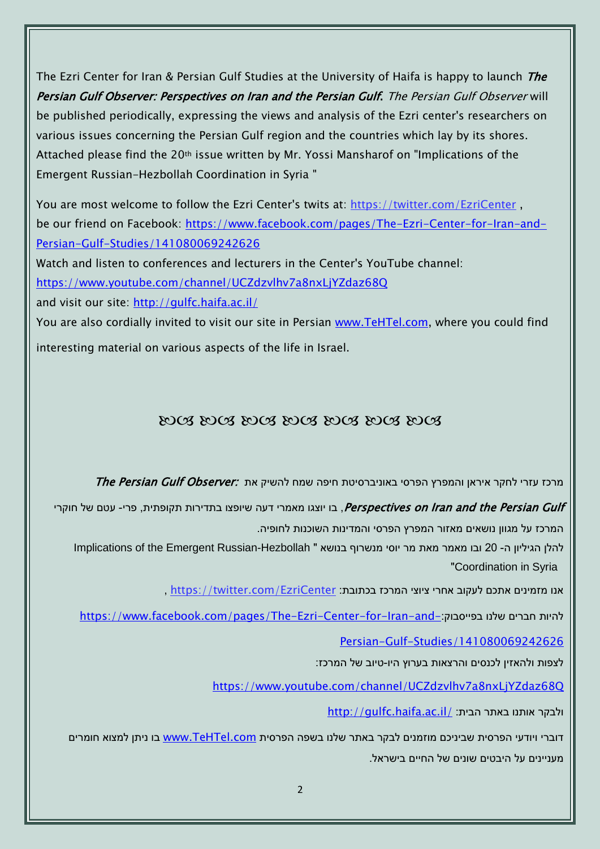The Ezri Center for Iran & Persian Gulf Studies at the University of Haifa is happy to launch The Persian Gulf Observer: Perspectives on Iran and the Persian Gulf. The Persian Gulf Observer will be published periodically, expressing the views and analysis of the Ezri center's researchers on various issues concerning the Persian Gulf region and the countries which lay by its shores. Attached please find the 20th issue written by Mr. Yossi Mansharof on "Implications of the Emergent Russian-Hezbollah Coordination in Syria "

You are most welcome to follow the Ezri Center's twits at: <https://twitter.com/EzriCenter> , be our friend on Facebook: [https://www.facebook.com/pages/The-Ezri-Center-for-Iran-and-](https://www.facebook.com/pages/The-Ezri-Center-for-Iran-and-Persian-Gulf-Studies/141080069242626)[Persian-Gulf-Studies/141080069242626](https://www.facebook.com/pages/The-Ezri-Center-for-Iran-and-Persian-Gulf-Studies/141080069242626)

Watch and listen to conferences and lecturers in the Center's YouTube channel:

<https://www.youtube.com/channel/UCZdzvlhv7a8nxLjYZdaz68Q>

and visit our site:<http://gulfc.haifa.ac.il/>

You are also cordially invited to visit our site in Persian [www.TeHTel.com,](http://www.tehtel.com/) where you could find interesting material on various aspects of the life in Israel.

## DOG DOG DOG DOG DOG DOG DOG

מרכז עזרי לחקר איראן והמפרץ הפרסי באוניברסיטת חיפה שמח להשיק את :The Persian Gulf Observer

Perspectives on Iran and the Persian Gulf, בו יוצגו מאמרי דעה שיופצו בתדירות תקופתית, פרי- עטם של חוקרי המרכז על מגוון נושאים מאזור המפרץ הפרסי והמדינות השוכנות לחופיה.

להלן הגיליון ה- 20 ובו מאמר מאת מר יוסי מנשרוף בנושא " Implications of the Emergent Russian-Hezbollah "Coordination in Syria

אנו מזמינים אתכם לעקוב אחרי ציוצי המרכז בכתובת: [EzriCenter/com.twitter://https](https://twitter.com/EzriCenter) ,

[https://www.facebook.com/pages/The-Ezri-Center-for-Iran-and-](https://www.facebook.com/pages/The-Ezri-Center-for-Iran-and-Persian-Gulf-Studies/141080069242626)

[Persian-Gulf-Studies/141080069242626](https://www.facebook.com/pages/The-Ezri-Center-for-Iran-and-Persian-Gulf-Studies/141080069242626)

לצפות ולהאזין לכנסים והרצאות בערוץ היו-טיוב של המרכז:

<https://www.youtube.com/channel/UCZdzvlhv7a8nxLjYZdaz68Q>

<http://gulfc.haifa.ac.il/> ולבקר אותנו באתר הבית

דוברי ויודעי הפרסית שביניכם מוזמנים לבקר באתר שלנו בשפה הפרסית [com.TeHTel.www](http://www.tehtel.com/) בו ניתן למצוא חומרים מעניינים על היבטים שונים של החיים בישראל.